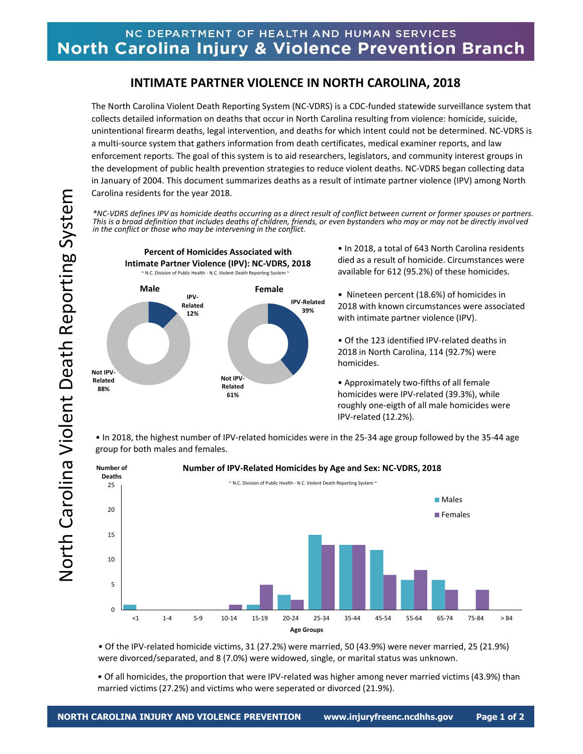## NC DEPARTMENT OF HEALTH AND HUMAN SERVICES North Carolina Injury & Violence Prevention Branch

## **INTIMATE PARTNER VIOLENCE IN NORTH CAROLINA, 2018**

The North Carolina Violent Death Reporting System (NC-VDRS) is a CDC-funded statewide surveillance system that collects detailed information on deaths that occur in North Carolina resulting from violence: homicide, suicide, unintentional firearm deaths, legal intervention, and deaths for which intent could not be determined. NC-VDRS is a multi-source system that gathers information from death certificates, medical examiner reports, and law enforcement reports. The goal of this system is to aid researchers, legislators, and community interest groups in the development of public health prevention strategies to reduce violent deaths. NC-VDRS began collecting data in January of 2004. This document summarizes deaths as a result of intimate partner violence (IPV) among North Carolina residents for the year 2018.

*\*NC-VDRS defines IPV as homicide deaths occurring as a direct result of conflict between current or former spouses or partners. This is a broad definition that includes deaths of children, friends, or even bystanders who may or may not be directly invol ved in the conflict or those who may be intervening in the conflict.*



• In 2018, a total of 643 North Carolina residents died as a result of homicide. Circumstances were available for 612 (95.2%) of these homicides.

• Nineteen percent (18.6%) of homicides in 2018 with known circumstances were associated with intimate partner violence (IPV).

• Of the 123 identified IPV-related deaths in 2018 in North Carolina, 114 (92.7%) were homicides.

• Approximately two-fifths of all female homicides were IPV-related (39.3%), while roughly one-eigth of all male homicides were IPV-related (12.2%).

• In 2018, the highest number of IPV-related homicides were in the 25-34 age group followed by the 35-44 age group for both males and females.



• Of the IPV-related homicide victims, 31 (27.2%) were married, 50 (43.9%) were never married, 25 (21.9%) were divorced/separated, and 8 (7.0%) were widowed, single, or marital status was unknown.

• Of all homicides, the proportion that were IPV-related was higher among never married victims (43.9%) than married victims (27.2%) and victims who were seperated or divorced (21.9%).